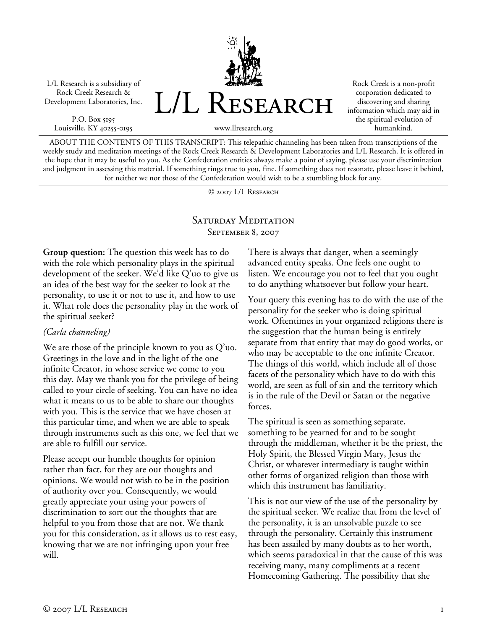L/L Research is a subsidiary of Rock Creek Research & Development Laboratories, Inc.

P.O. Box 5195 Louisville, KY 40255-0195 L/L RESEARCH

Rock Creek is a non-profit corporation dedicated to discovering and sharing information which may aid in the spiritual evolution of humankind.

www.llresearch.org

ABOUT THE CONTENTS OF THIS TRANSCRIPT: This telepathic channeling has been taken from transcriptions of the weekly study and meditation meetings of the Rock Creek Research & Development Laboratories and L/L Research. It is offered in the hope that it may be useful to you. As the Confederation entities always make a point of saying, please use your discrimination and judgment in assessing this material. If something rings true to you, fine. If something does not resonate, please leave it behind, for neither we nor those of the Confederation would wish to be a stumbling block for any.

© 2007 L/L Research

## Saturday Meditation September 8, 2007

**Group question:** The question this week has to do with the role which personality plays in the spiritual development of the seeker. We'd like Q'uo to give us an idea of the best way for the seeker to look at the personality, to use it or not to use it, and how to use it. What role does the personality play in the work of the spiritual seeker?

## *(Carla channeling)*

We are those of the principle known to you as Q'uo. Greetings in the love and in the light of the one infinite Creator, in whose service we come to you this day. May we thank you for the privilege of being called to your circle of seeking. You can have no idea what it means to us to be able to share our thoughts with you. This is the service that we have chosen at this particular time, and when we are able to speak through instruments such as this one, we feel that we are able to fulfill our service.

Please accept our humble thoughts for opinion rather than fact, for they are our thoughts and opinions. We would not wish to be in the position of authority over you. Consequently, we would greatly appreciate your using your powers of discrimination to sort out the thoughts that are helpful to you from those that are not. We thank you for this consideration, as it allows us to rest easy, knowing that we are not infringing upon your free will.

There is always that danger, when a seemingly advanced entity speaks. One feels one ought to listen. We encourage you not to feel that you ought to do anything whatsoever but follow your heart.

Your query this evening has to do with the use of the personality for the seeker who is doing spiritual work. Oftentimes in your organized religions there is the suggestion that the human being is entirely separate from that entity that may do good works, or who may be acceptable to the one infinite Creator. The things of this world, which include all of those facets of the personality which have to do with this world, are seen as full of sin and the territory which is in the rule of the Devil or Satan or the negative forces.

The spiritual is seen as something separate, something to be yearned for and to be sought through the middleman, whether it be the priest, the Holy Spirit, the Blessed Virgin Mary, Jesus the Christ, or whatever intermediary is taught within other forms of organized religion than those with which this instrument has familiarity.

This is not our view of the use of the personality by the spiritual seeker. We realize that from the level of the personality, it is an unsolvable puzzle to see through the personality. Certainly this instrument has been assailed by many doubts as to her worth, which seems paradoxical in that the cause of this was receiving many, many compliments at a recent Homecoming Gathering. The possibility that she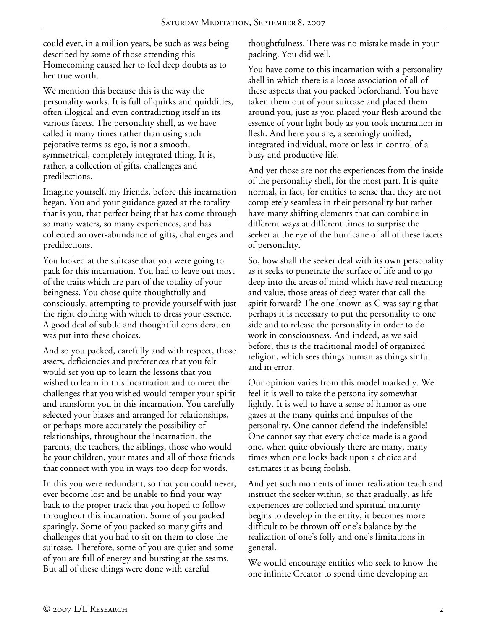could ever, in a million years, be such as was being described by some of those attending this Homecoming caused her to feel deep doubts as to her true worth.

We mention this because this is the way the personality works. It is full of quirks and quiddities, often illogical and even contradicting itself in its various facets. The personality shell, as we have called it many times rather than using such pejorative terms as ego, is not a smooth, symmetrical, completely integrated thing. It is, rather, a collection of gifts, challenges and predilections.

Imagine yourself, my friends, before this incarnation began. You and your guidance gazed at the totality that is you, that perfect being that has come through so many waters, so many experiences, and has collected an over-abundance of gifts, challenges and predilections.

You looked at the suitcase that you were going to pack for this incarnation. You had to leave out most of the traits which are part of the totality of your beingness. You chose quite thoughtfully and consciously, attempting to provide yourself with just the right clothing with which to dress your essence. A good deal of subtle and thoughtful consideration was put into these choices.

And so you packed, carefully and with respect, those assets, deficiencies and preferences that you felt would set you up to learn the lessons that you wished to learn in this incarnation and to meet the challenges that you wished would temper your spirit and transform you in this incarnation. You carefully selected your biases and arranged for relationships, or perhaps more accurately the possibility of relationships, throughout the incarnation, the parents, the teachers, the siblings, those who would be your children, your mates and all of those friends that connect with you in ways too deep for words.

In this you were redundant, so that you could never, ever become lost and be unable to find your way back to the proper track that you hoped to follow throughout this incarnation. Some of you packed sparingly. Some of you packed so many gifts and challenges that you had to sit on them to close the suitcase. Therefore, some of you are quiet and some of you are full of energy and bursting at the seams. But all of these things were done with careful

thoughtfulness. There was no mistake made in your packing. You did well.

You have come to this incarnation with a personality shell in which there is a loose association of all of these aspects that you packed beforehand. You have taken them out of your suitcase and placed them around you, just as you placed your flesh around the essence of your light body as you took incarnation in flesh. And here you are, a seemingly unified, integrated individual, more or less in control of a busy and productive life.

And yet those are not the experiences from the inside of the personality shell, for the most part. It is quite normal, in fact, for entities to sense that they are not completely seamless in their personality but rather have many shifting elements that can combine in different ways at different times to surprise the seeker at the eye of the hurricane of all of these facets of personality.

So, how shall the seeker deal with its own personality as it seeks to penetrate the surface of life and to go deep into the areas of mind which have real meaning and value, those areas of deep water that call the spirit forward? The one known as C was saying that perhaps it is necessary to put the personality to one side and to release the personality in order to do work in consciousness. And indeed, as we said before, this is the traditional model of organized religion, which sees things human as things sinful and in error.

Our opinion varies from this model markedly. We feel it is well to take the personality somewhat lightly. It is well to have a sense of humor as one gazes at the many quirks and impulses of the personality. One cannot defend the indefensible! One cannot say that every choice made is a good one, when quite obviously there are many, many times when one looks back upon a choice and estimates it as being foolish.

And yet such moments of inner realization teach and instruct the seeker within, so that gradually, as life experiences are collected and spiritual maturity begins to develop in the entity, it becomes more difficult to be thrown off one's balance by the realization of one's folly and one's limitations in general.

We would encourage entities who seek to know the one infinite Creator to spend time developing an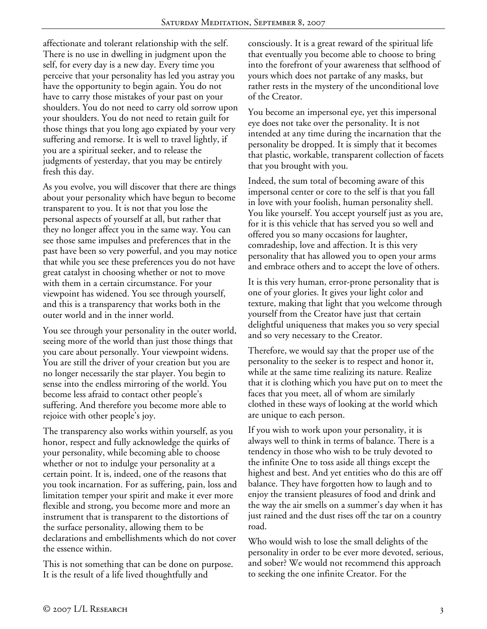affectionate and tolerant relationship with the self. There is no use in dwelling in judgment upon the self, for every day is a new day. Every time you perceive that your personality has led you astray you have the opportunity to begin again. You do not have to carry those mistakes of your past on your shoulders. You do not need to carry old sorrow upon your shoulders. You do not need to retain guilt for those things that you long ago expiated by your very suffering and remorse. It is well to travel lightly, if you are a spiritual seeker, and to release the judgments of yesterday, that you may be entirely fresh this day.

As you evolve, you will discover that there are things about your personality which have begun to become transparent to you. It is not that you lose the personal aspects of yourself at all, but rather that they no longer affect you in the same way. You can see those same impulses and preferences that in the past have been so very powerful, and you may notice that while you see these preferences you do not have great catalyst in choosing whether or not to move with them in a certain circumstance. For your viewpoint has widened. You see through yourself, and this is a transparency that works both in the outer world and in the inner world.

You see through your personality in the outer world, seeing more of the world than just those things that you care about personally. Your viewpoint widens. You are still the driver of your creation but you are no longer necessarily the star player. You begin to sense into the endless mirroring of the world. You become less afraid to contact other people's suffering. And therefore you become more able to rejoice with other people's joy.

The transparency also works within yourself, as you honor, respect and fully acknowledge the quirks of your personality, while becoming able to choose whether or not to indulge your personality at a certain point. It is, indeed, one of the reasons that you took incarnation. For as suffering, pain, loss and limitation temper your spirit and make it ever more flexible and strong, you become more and more an instrument that is transparent to the distortions of the surface personality, allowing them to be declarations and embellishments which do not cover the essence within.

This is not something that can be done on purpose. It is the result of a life lived thoughtfully and

consciously. It is a great reward of the spiritual life that eventually you become able to choose to bring into the forefront of your awareness that selfhood of yours which does not partake of any masks, but rather rests in the mystery of the unconditional love of the Creator.

You become an impersonal eye, yet this impersonal eye does not take over the personality. It is not intended at any time during the incarnation that the personality be dropped. It is simply that it becomes that plastic, workable, transparent collection of facets that you brought with you.

Indeed, the sum total of becoming aware of this impersonal center or core to the self is that you fall in love with your foolish, human personality shell. You like yourself. You accept yourself just as you are, for it is this vehicle that has served you so well and offered you so many occasions for laughter, comradeship, love and affection. It is this very personality that has allowed you to open your arms and embrace others and to accept the love of others.

It is this very human, error-prone personality that is one of your glories. It gives your light color and texture, making that light that you welcome through yourself from the Creator have just that certain delightful uniqueness that makes you so very special and so very necessary to the Creator.

Therefore, we would say that the proper use of the personality to the seeker is to respect and honor it, while at the same time realizing its nature. Realize that it is clothing which you have put on to meet the faces that you meet, all of whom are similarly clothed in these ways of looking at the world which are unique to each person.

If you wish to work upon your personality, it is always well to think in terms of balance. There is a tendency in those who wish to be truly devoted to the infinite One to toss aside all things except the highest and best. And yet entities who do this are off balance. They have forgotten how to laugh and to enjoy the transient pleasures of food and drink and the way the air smells on a summer's day when it has just rained and the dust rises off the tar on a country road.

Who would wish to lose the small delights of the personality in order to be ever more devoted, serious, and sober? We would not recommend this approach to seeking the one infinite Creator. For the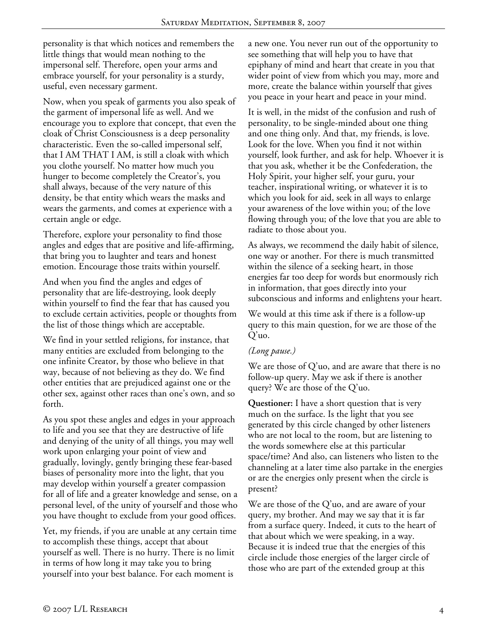personality is that which notices and remembers the little things that would mean nothing to the impersonal self. Therefore, open your arms and embrace yourself, for your personality is a sturdy, useful, even necessary garment.

Now, when you speak of garments you also speak of the garment of impersonal life as well. And we encourage you to explore that concept, that even the cloak of Christ Consciousness is a deep personality characteristic. Even the so-called impersonal self, that I AM THAT I AM, is still a cloak with which you clothe yourself. No matter how much you hunger to become completely the Creator's, you shall always, because of the very nature of this density, be that entity which wears the masks and wears the garments, and comes at experience with a certain angle or edge.

Therefore, explore your personality to find those angles and edges that are positive and life-affirming, that bring you to laughter and tears and honest emotion. Encourage those traits within yourself.

And when you find the angles and edges of personality that are life-destroying, look deeply within yourself to find the fear that has caused you to exclude certain activities, people or thoughts from the list of those things which are acceptable.

We find in your settled religions, for instance, that many entities are excluded from belonging to the one infinite Creator, by those who believe in that way, because of not believing as they do. We find other entities that are prejudiced against one or the other sex, against other races than one's own, and so forth.

As you spot these angles and edges in your approach to life and you see that they are destructive of life and denying of the unity of all things, you may well work upon enlarging your point of view and gradually, lovingly, gently bringing these fear-based biases of personality more into the light, that you may develop within yourself a greater compassion for all of life and a greater knowledge and sense, on a personal level, of the unity of yourself and those who you have thought to exclude from your good offices.

Yet, my friends, if you are unable at any certain time to accomplish these things, accept that about yourself as well. There is no hurry. There is no limit in terms of how long it may take you to bring yourself into your best balance. For each moment is

a new one. You never run out of the opportunity to see something that will help you to have that epiphany of mind and heart that create in you that wider point of view from which you may, more and more, create the balance within yourself that gives you peace in your heart and peace in your mind.

It is well, in the midst of the confusion and rush of personality, to be single-minded about one thing and one thing only. And that, my friends, is love. Look for the love. When you find it not within yourself, look further, and ask for help. Whoever it is that you ask, whether it be the Confederation, the Holy Spirit, your higher self, your guru, your teacher, inspirational writing, or whatever it is to which you look for aid, seek in all ways to enlarge your awareness of the love within you; of the love flowing through you; of the love that you are able to radiate to those about you.

As always, we recommend the daily habit of silence, one way or another. For there is much transmitted within the silence of a seeking heart, in those energies far too deep for words but enormously rich in information, that goes directly into your subconscious and informs and enlightens your heart.

We would at this time ask if there is a follow-up query to this main question, for we are those of the Q'uo.

## *(Long pause.)*

We are those of  $Q'$ uo, and are aware that there is no follow-up query. May we ask if there is another query? We are those of the Q'uo.

**Questioner:** I have a short question that is very much on the surface. Is the light that you see generated by this circle changed by other listeners who are not local to the room, but are listening to the words somewhere else at this particular space/time? And also, can listeners who listen to the channeling at a later time also partake in the energies or are the energies only present when the circle is present?

We are those of the Q'uo, and are aware of your query, my brother. And may we say that it is far from a surface query. Indeed, it cuts to the heart of that about which we were speaking, in a way. Because it is indeed true that the energies of this circle include those energies of the larger circle of those who are part of the extended group at this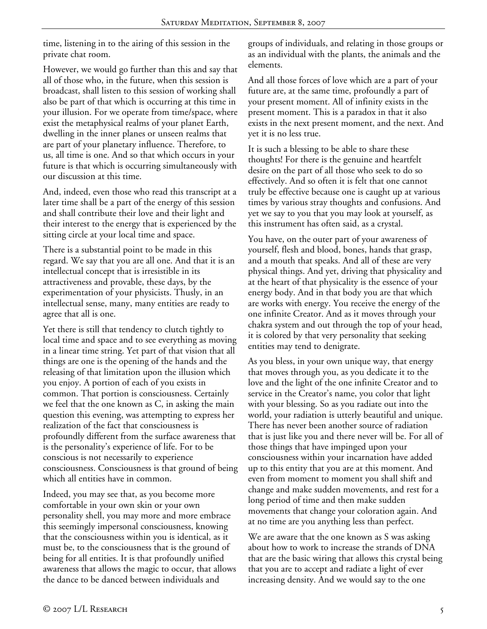time, listening in to the airing of this session in the private chat room.

However, we would go further than this and say that all of those who, in the future, when this session is broadcast, shall listen to this session of working shall also be part of that which is occurring at this time in your illusion. For we operate from time/space, where exist the metaphysical realms of your planet Earth, dwelling in the inner planes or unseen realms that are part of your planetary influence. Therefore, to us, all time is one. And so that which occurs in your future is that which is occurring simultaneously with our discussion at this time.

And, indeed, even those who read this transcript at a later time shall be a part of the energy of this session and shall contribute their love and their light and their interest to the energy that is experienced by the sitting circle at your local time and space.

There is a substantial point to be made in this regard. We say that you are all one. And that it is an intellectual concept that is irresistible in its attractiveness and provable, these days, by the experimentation of your physicists. Thusly, in an intellectual sense, many, many entities are ready to agree that all is one.

Yet there is still that tendency to clutch tightly to local time and space and to see everything as moving in a linear time string. Yet part of that vision that all things are one is the opening of the hands and the releasing of that limitation upon the illusion which you enjoy. A portion of each of you exists in common. That portion is consciousness. Certainly we feel that the one known as C, in asking the main question this evening, was attempting to express her realization of the fact that consciousness is profoundly different from the surface awareness that is the personality's experience of life. For to be conscious is not necessarily to experience consciousness. Consciousness is that ground of being which all entities have in common.

Indeed, you may see that, as you become more comfortable in your own skin or your own personality shell, you may more and more embrace this seemingly impersonal consciousness, knowing that the consciousness within you is identical, as it must be, to the consciousness that is the ground of being for all entities. It is that profoundly unified awareness that allows the magic to occur, that allows the dance to be danced between individuals and

groups of individuals, and relating in those groups or as an individual with the plants, the animals and the elements.

And all those forces of love which are a part of your future are, at the same time, profoundly a part of your present moment. All of infinity exists in the present moment. This is a paradox in that it also exists in the next present moment, and the next. And yet it is no less true.

It is such a blessing to be able to share these thoughts! For there is the genuine and heartfelt desire on the part of all those who seek to do so effectively. And so often it is felt that one cannot truly be effective because one is caught up at various times by various stray thoughts and confusions. And yet we say to you that you may look at yourself, as this instrument has often said, as a crystal.

You have, on the outer part of your awareness of yourself, flesh and blood, bones, hands that grasp, and a mouth that speaks. And all of these are very physical things. And yet, driving that physicality and at the heart of that physicality is the essence of your energy body. And in that body you are that which are works with energy. You receive the energy of the one infinite Creator. And as it moves through your chakra system and out through the top of your head, it is colored by that very personality that seeking entities may tend to denigrate.

As you bless, in your own unique way, that energy that moves through you, as you dedicate it to the love and the light of the one infinite Creator and to service in the Creator's name, you color that light with your blessing. So as you radiate out into the world, your radiation is utterly beautiful and unique. There has never been another source of radiation that is just like you and there never will be. For all of those things that have impinged upon your consciousness within your incarnation have added up to this entity that you are at this moment. And even from moment to moment you shall shift and change and make sudden movements, and rest for a long period of time and then make sudden movements that change your coloration again. And at no time are you anything less than perfect.

We are aware that the one known as S was asking about how to work to increase the strands of DNA that are the basic wiring that allows this crystal being that you are to accept and radiate a light of ever increasing density. And we would say to the one